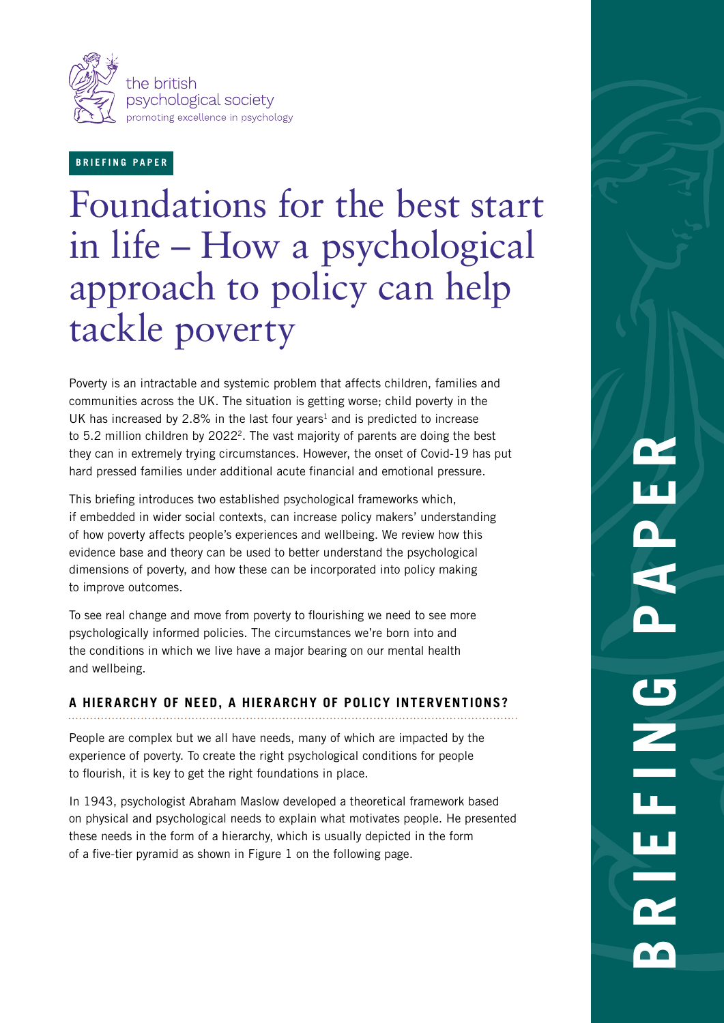

## **BRIEFING PAPER**

# Foundations for the best start in life – How a psychological approach to policy can help tackle poverty

Poverty is an intractable and systemic problem that affects children, families and communities across the UK. The situation is getting worse; child poverty in the UK has increased by 2.8% in the last four years<sup>1</sup> and is predicted to increase to 5.2 million children by 2022<sup>2</sup>. The vast majority of parents are doing the best they can in extremely trying circumstances. However, the onset of Covid-19 has put hard pressed families under additional acute financial and emotional pressure.

This briefing introduces two established psychological frameworks which, if embedded in wider social contexts, can increase policy makers' understanding of how poverty affects people's experiences and wellbeing. We review how this evidence base and theory can be used to better understand the psychological dimensions of poverty, and how these can be incorporated into policy making to improve outcomes.

To see real change and move from poverty to flourishing we need to see more psychologically informed policies. The circumstances we're born into and the conditions in which we live have a major bearing on our mental health and wellbeing.

## **A HIERARCHY OF NEED, A HIERARCHY OF POLICY INTERVENTIONS?**

People are complex but we all have needs, many of which are impacted by the experience of poverty. To create the right psychological conditions for people to flourish, it is key to get the right foundations in place.

In 1943, psychologist Abraham Maslow developed a theoretical framework based on physical and psychological needs to explain what motivates people. He presented these needs in the form of a hierarchy, which is usually depicted in the form of a five-tier pyramid as shown in Figure 1 on the following page.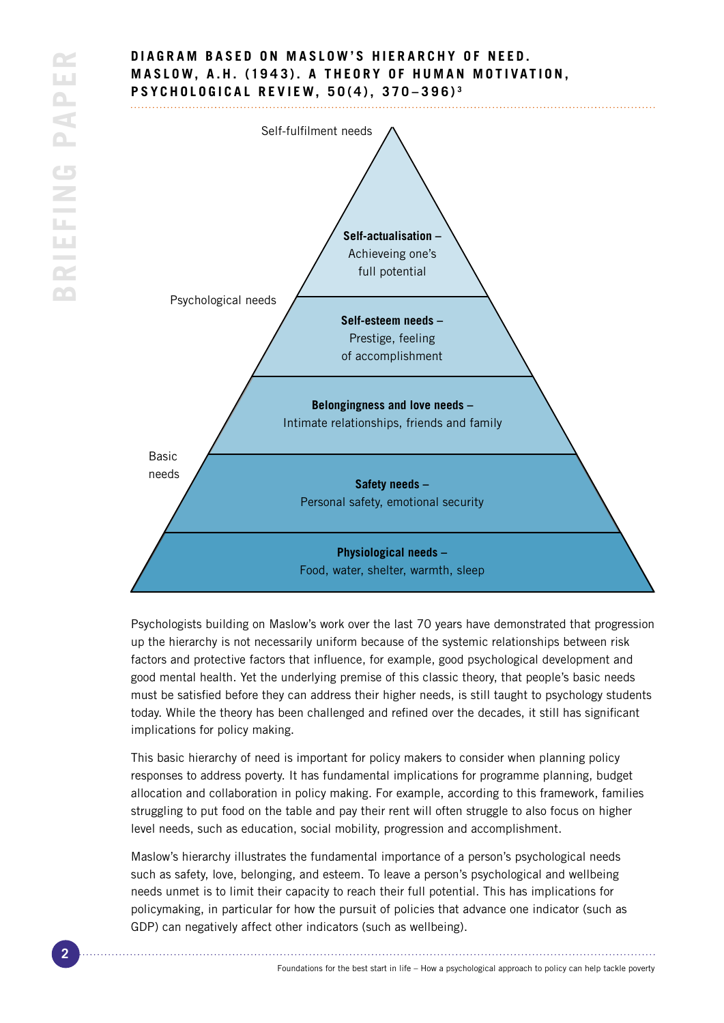

Psychologists building on Maslow's work over the last 70 years have demonstrated that progression up the hierarchy is not necessarily uniform because of the systemic relationships between risk factors and protective factors that influence, for example, good psychological development and good mental health. Yet the underlying premise of this classic theory, that people's basic needs must be satisfied before they can address their higher needs, is still taught to psychology students today. While the theory has been challenged and refined over the decades, it still has significant implications for policy making.

This basic hierarchy of need is important for policy makers to consider when planning policy responses to address poverty. It has fundamental implications for programme planning, budget allocation and collaboration in policy making. For example, according to this framework, families struggling to put food on the table and pay their rent will often struggle to also focus on higher level needs, such as education, social mobility, progression and accomplishment.

Maslow's hierarchy illustrates the fundamental importance of a person's psychological needs such as safety, love, belonging, and esteem. To leave a person's psychological and wellbeing needs unmet is to limit their capacity to reach their full potential. This has implications for policymaking, in particular for how the pursuit of policies that advance one indicator (such as GDP) can negatively affect other indicators (such as wellbeing).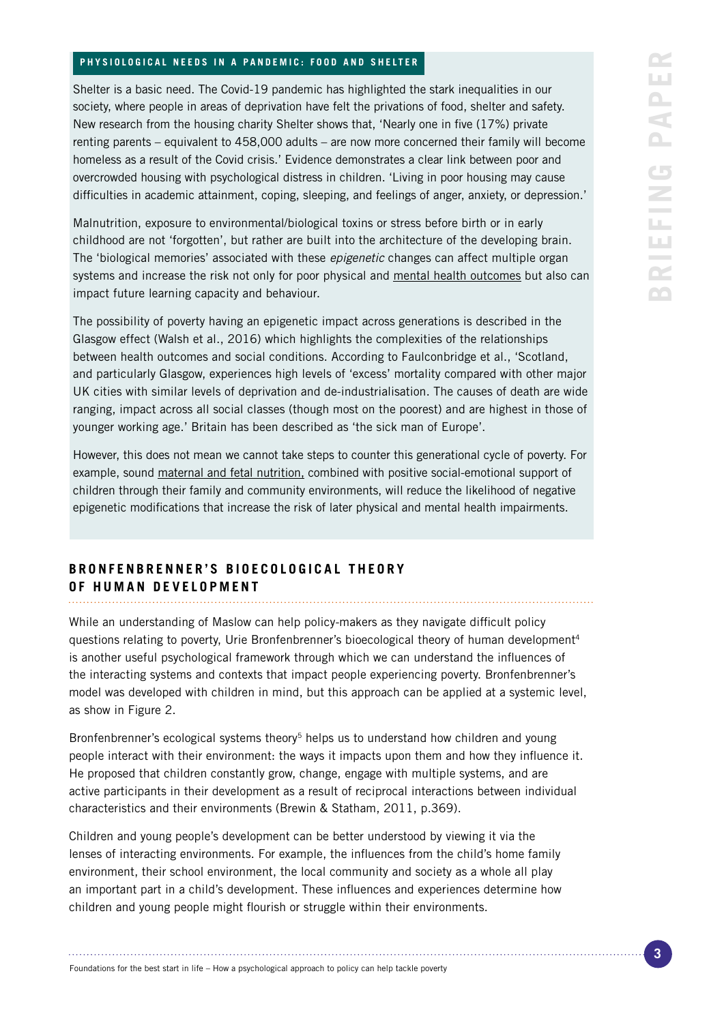#### **PHYSIOLOGICAL NEEDS IN A PANDEMIC: FOOD AND SHELTER**

Shelter is a basic need. The Covid-19 pandemic has highlighted the stark inequalities in our society, where people in areas of deprivation have felt the privations of food, shelter and safety. New research from the housing charity Shelter shows that, 'Nearly one in five (17%) private renting parents – equivalent to 458,000 adults – are now more concerned their family will become homeless as a result of the Covid crisis.' Evidence demonstrates a clear link between poor and overcrowded housing with psychological distress in children. 'Living in poor housing may cause difficulties in academic attainment, coping, sleeping, and feelings of anger, anxiety, or depression.'

Malnutrition, exposure to environmental/biological toxins or stress before birth or in early childhood are not 'forgotten', but rather are built into the architecture of the developing brain. The 'biological memories' associated with these *epigenetic* changes can affect multiple organ systems and increase the risk not only for poor physical and [mental health outcomes](https://developingchild.harvard.edu/science/deep-dives/mental-health/) but also can impact future learning capacity and behaviour.

The possibility of poverty having an epigenetic impact across generations is described in the Glasgow effect (Walsh et al., 2016) which highlights the complexities of the relationships between health outcomes and social conditions. According to Faulconbridge et al., 'Scotland, and particularly Glasgow, experiences high levels of 'excess' mortality compared with other major UK cities with similar levels of deprivation and de-industrialisation. The causes of death are wide ranging, impact across all social classes (though most on the poorest) and are highest in those of younger working age.' Britain has been described as 'the sick man of Europe'.

However, this does not mean we cannot take steps to counter this generational cycle of poverty. For example, sound [maternal and fetal nutrition,](https://developingchild.harvard.edu/resources/inbrief-the-foundations-of-lifelong-health/) combined with positive social-emotional support of children through their family and community environments, will reduce the likelihood of negative epigenetic modifications that increase the risk of later physical and mental health impairments.

## BRONFENBRENNER'S BIOECOLOGICAL THEORY **OF HUMAN DEVELOPMENT**

While an understanding of Maslow can help policy-makers as they navigate difficult policy questions relating to poverty, Urie Bronfenbrenner's bioecological theory of human development<sup>4</sup> is another useful psychological framework through which we can understand the influences of the interacting systems and contexts that impact people experiencing poverty. Bronfenbrenner's model was developed with children in mind, but this approach can be applied at a systemic level, as show in Figure 2.

Bronfenbrenner's ecological systems theory<sup>5</sup> helps us to understand how children and young people interact with their environment: the ways it impacts upon them and how they influence it. He proposed that children constantly grow, change, engage with multiple systems, and are active participants in their development as a result of reciprocal interactions between individual characteristics and their environments (Brewin & Statham, 2011, p.369).

Children and young people's development can be better understood by viewing it via the lenses of interacting environments. For example, the influences from the child's home family environment, their school environment, the local community and society as a whole all play an important part in a child's development. These influences and experiences determine how children and young people might flourish or struggle within their environments.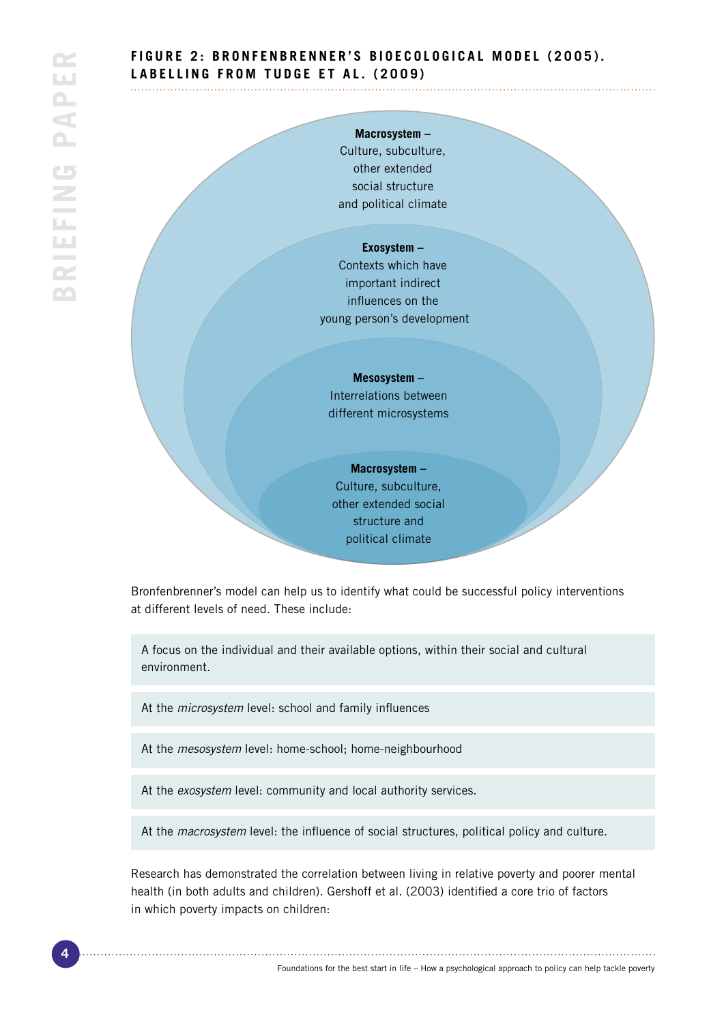# **FIGURE 2: BRONFENBRENNER'S BIOECOLOGICAL MODEL (2005). LABELLING FROM TUDGE ET AL. (2009)**

## **Macrosystem –**

Culture, subculture, other extended social structure and political climate

#### **Exosystem –**

Contexts which have important indirect influences on the young person's development

#### **Mesosystem –**

Interrelations between different microsystems

# **Macrosystem –**

Culture, subculture, other extended social structure and political climate

Bronfenbrenner's model can help us to identify what could be successful policy interventions at different levels of need. These include:

A focus on the individual and their available options, within their social and cultural environment.

At the *microsystem* level: school and family influences

At the *mesosystem* level: home-school; home-neighbourhood

At the *exosystem* level: community and local authority services.

At the *macrosystem* level: the influence of social structures, political policy and culture.

Research has demonstrated the correlation between living in relative poverty and poorer mental health (in both adults and children). Gershoff et al. (2003) identified a core trio of factors in which poverty impacts on children: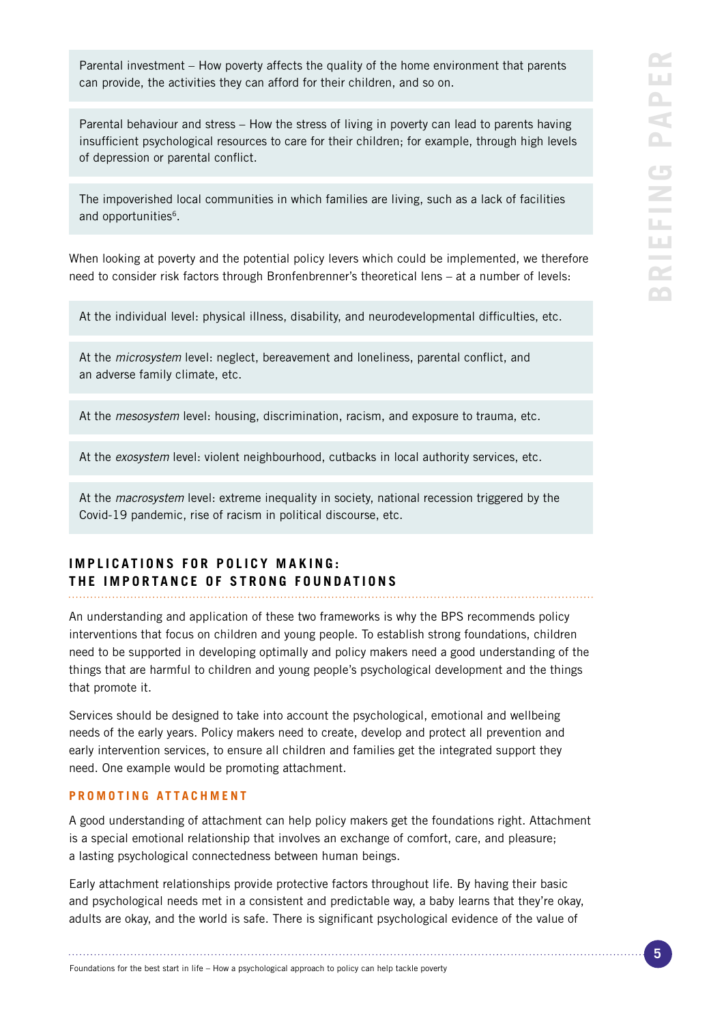Parental investment – How poverty affects the quality of the home environment that parents can provide, the activities they can afford for their children, and so on.

Parental behaviour and stress – How the stress of living in poverty can lead to parents having insufficient psychological resources to care for their children; for example, through high levels of depression or parental conflict.

The impoverished local communities in which families are living, such as a lack of facilities and opportunities<sup>6</sup>.

When looking at poverty and the potential policy levers which could be implemented, we therefore need to consider risk factors through Bronfenbrenner's theoretical lens – at a number of levels:

At the individual level: physical illness, disability, and neurodevelopmental difficulties, etc.

At the *microsystem* level: neglect, bereavement and loneliness, parental conflict, and an adverse family climate, etc.

At the *mesosystem* level: housing, discrimination, racism, and exposure to trauma, etc.

At the *exosystem* level: violent neighbourhood, cutbacks in local authority services, etc.

At the *macrosystem* level: extreme inequality in society, national recession triggered by the Covid-19 pandemic, rise of racism in political discourse, etc.

# **IMPLICATIONS FOR POLICY MAKING: THE IMPORTANCE OF STRONG FOUNDATIONS**

An understanding and application of these two frameworks is why the BPS recommends policy interventions that focus on children and young people. To establish strong foundations, children need to be supported in developing optimally and policy makers need a good understanding of the things that are harmful to children and young people's psychological development and the things that promote it.

Services should be designed to take into account the psychological, emotional and wellbeing needs of the early years. Policy makers need to create, develop and protect all prevention and early intervention services, to ensure all children and families get the integrated support they need. One example would be promoting attachment.

## **PROMOTING ATTACHMENT**

A good understanding of attachment can help policy makers get the foundations right. Attachment is a special emotional relationship that involves an exchange of comfort, care, and pleasure; a lasting psychological connectedness between human beings.

Early attachment relationships provide protective factors throughout life. By having their basic and psychological needs met in a consistent and predictable way, a baby learns that they're okay, adults are okay, and the world is safe. There is significant psychological evidence of the value of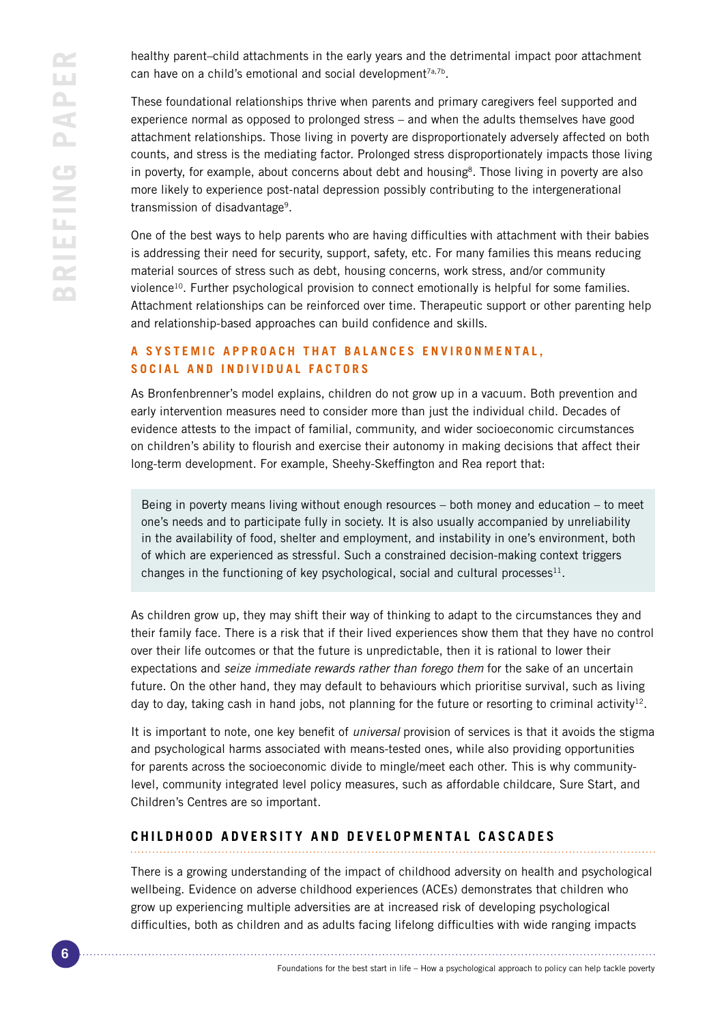healthy parent–child attachments in the early years and the detrimental impact poor attachment can have on a child's emotional and social development<sup>7a,7b</sup>.

These foundational relationships thrive when parents and primary caregivers feel supported and experience normal as opposed to prolonged stress – and when the adults themselves have good attachment relationships. Those living in poverty are disproportionately adversely affected on both counts, and stress is the mediating factor. Prolonged stress disproportionately impacts those living in poverty, for example, about concerns about debt and housing<sup>8</sup>. Those living in poverty are also more likely to experience post-natal depression possibly contributing to the intergenerational transmission of disadvantage9.

One of the best ways to help parents who are having difficulties with attachment with their babies is addressing their need for security, support, safety, etc. For many families this means reducing material sources of stress such as debt, housing concerns, work stress, and/or community violence<sup>10</sup>. Further psychological provision to connect emotionally is helpful for some families. Attachment relationships can be reinforced over time. Therapeutic support or other parenting help and relationship-based approaches can build confidence and skills.

# **A SYSTEMIC APPROACH THAT BALANCES ENVIRONMENTAL. SOCIAL AND INDIVIDUAL FACTORS**

As Bronfenbrenner's model explains, children do not grow up in a vacuum. Both prevention and early intervention measures need to consider more than just the individual child. Decades of evidence attests to the impact of familial, community, and wider socioeconomic circumstances on children's ability to flourish and exercise their autonomy in making decisions that affect their long-term development. For example, Sheehy-Skeffington and Rea report that:

Being in poverty means living without enough resources – both money and education – to meet one's needs and to participate fully in society. It is also usually accompanied by unreliability in the availability of food, shelter and employment, and instability in one's environment, both of which are experienced as stressful. Such a constrained decision-making context triggers changes in the functioning of key psychological, social and cultural processes $11$ .

As children grow up, they may shift their way of thinking to adapt to the circumstances they and their family face. There is a risk that if their lived experiences show them that they have no control over their life outcomes or that the future is unpredictable, then it is rational to lower their expectations and *seize immediate rewards rather than forego them* for the sake of an uncertain future. On the other hand, they may default to behaviours which prioritise survival, such as living day to day, taking cash in hand jobs, not planning for the future or resorting to criminal activity<sup>12</sup>.

It is important to note, one key benefit of *universal* provision of services is that it avoids the stigma and psychological harms associated with means-tested ones, while also providing opportunities for parents across the socioeconomic divide to mingle/meet each other. This is why communitylevel, community integrated level policy measures, such as affordable childcare, Sure Start, and Children's Centres are so important.

# **CHILDHOOD ADVERSITY AND DEVELOPMENTAL CASCADES**

There is a growing understanding of the impact of childhood adversity on health and psychological wellbeing. Evidence on adverse childhood experiences (ACEs) demonstrates that children who grow up experiencing multiple adversities are at increased risk of developing psychological difficulties, both as children and as adults facing lifelong difficulties with wide ranging impacts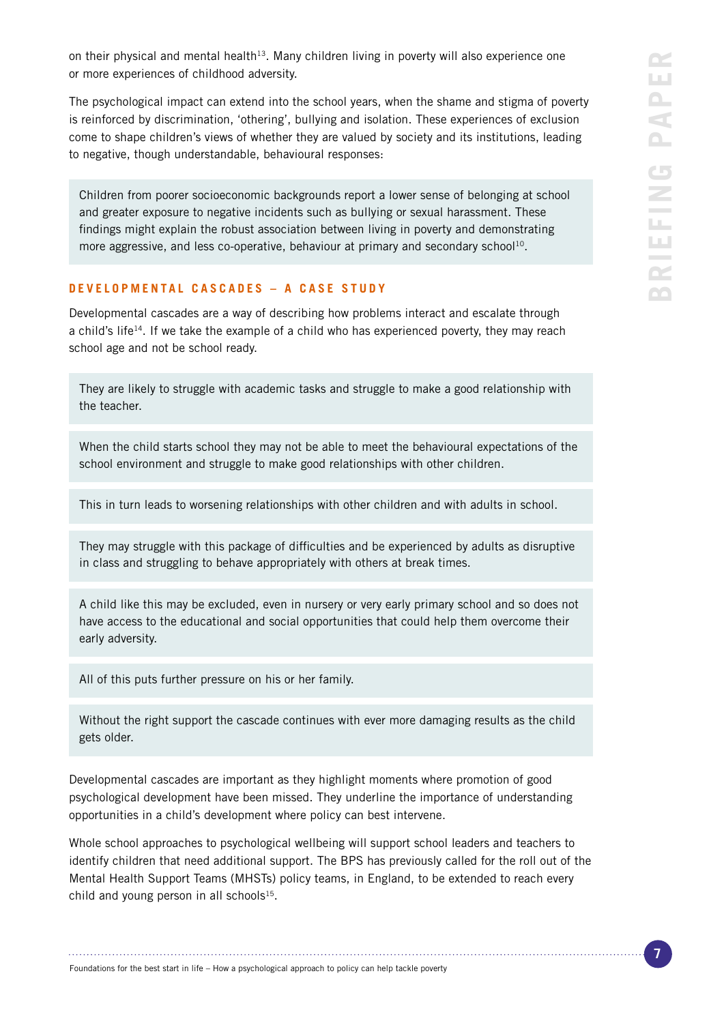on their physical and mental health<sup>13</sup>. Many children living in poverty will also experience one or more experiences of childhood adversity.

The psychological impact can extend into the school years, when the shame and stigma of poverty is reinforced by discrimination, 'othering', bullying and isolation. These experiences of exclusion come to shape children's views of whether they are valued by society and its institutions, leading to negative, though understandable, behavioural responses:

Children from poorer socioeconomic backgrounds report a lower sense of belonging at school and greater exposure to negative incidents such as bullying or sexual harassment. These findings might explain the robust association between living in poverty and demonstrating more aggressive, and less co-operative, behaviour at primary and secondary school<sup>10</sup>.

## **DEVELOPMENTAL CASCADES – A CASE STUDY**

Developmental cascades are a way of describing how problems interact and escalate through a child's life<sup>14</sup>. If we take the example of a child who has experienced poverty, they may reach school age and not be school ready.

They are likely to struggle with academic tasks and struggle to make a good relationship with the teacher.

When the child starts school they may not be able to meet the behavioural expectations of the school environment and struggle to make good relationships with other children.

This in turn leads to worsening relationships with other children and with adults in school.

They may struggle with this package of difficulties and be experienced by adults as disruptive in class and struggling to behave appropriately with others at break times.

A child like this may be excluded, even in nursery or very early primary school and so does not have access to the educational and social opportunities that could help them overcome their early adversity.

All of this puts further pressure on his or her family.

Without the right support the cascade continues with ever more damaging results as the child gets older.

Developmental cascades are important as they highlight moments where promotion of good psychological development have been missed. They underline the importance of understanding opportunities in a child's development where policy can best intervene.

Whole school approaches to psychological wellbeing will support school leaders and teachers to identify children that need additional support. The BPS has previously called for the roll out of the Mental Health Support Teams (MHSTs) policy teams, in England, to be extended to reach every child and young person in all schools $15$ .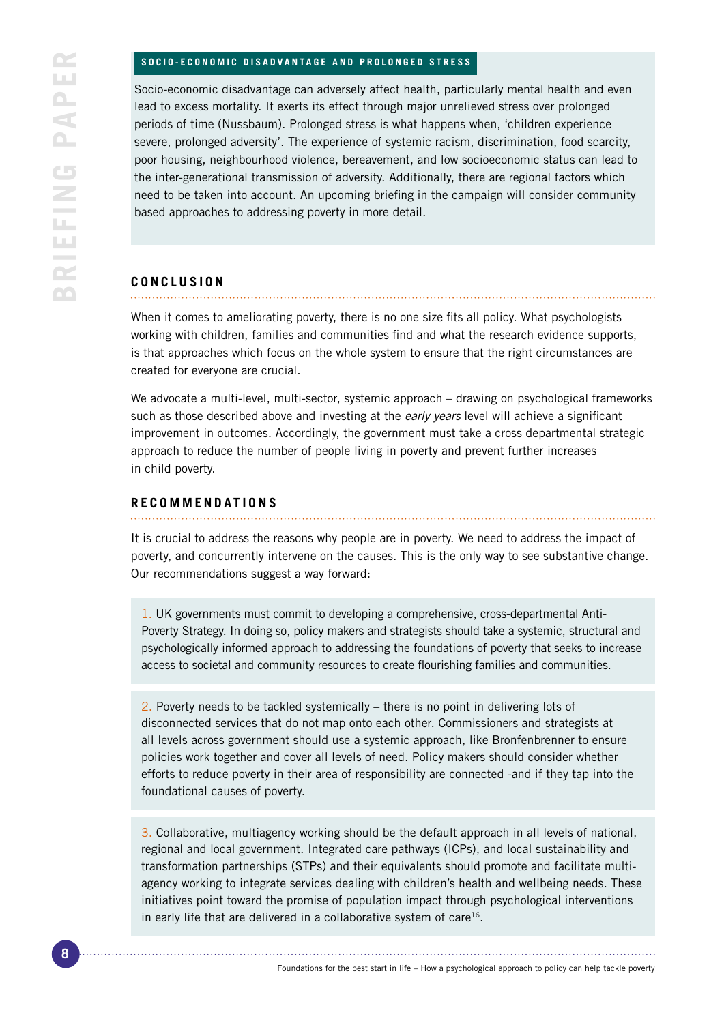#### **SOCIO-ECONOMIC DISADVANTAGE AND PROLONGED STRESS**

Socio-economic disadvantage can adversely affect health, particularly mental health and even lead to excess mortality. It exerts its effect through major unrelieved stress over prolonged periods of time (Nussbaum). Prolonged stress is what happens when, 'children experience severe, prolonged adversity'. The experience of systemic racism, discrimination, food scarcity, poor housing, neighbourhood violence, bereavement, and low socioeconomic status can lead to the inter-generational transmission of adversity. Additionally, there are regional factors which need to be taken into account. An upcoming briefing in the campaign will consider community based approaches to addressing poverty in more detail.

## **CONCLUSION**

When it comes to ameliorating poverty, there is no one size fits all policy. What psychologists working with children, families and communities find and what the research evidence supports, is that approaches which focus on the whole system to ensure that the right circumstances are created for everyone are crucial.

We advocate a multi-level, multi-sector, systemic approach – drawing on psychological frameworks such as those described above and investing at the *early years* level will achieve a significant improvement in outcomes. Accordingly, the government must take a cross departmental strategic approach to reduce the number of people living in poverty and prevent further increases in child poverty.

## **RECOMMENDATIONS**

It is crucial to address the reasons why people are in poverty. We need to address the impact of poverty, and concurrently intervene on the causes. This is the only way to see substantive change. Our recommendations suggest a way forward:

1. UK governments must commit to developing a comprehensive, cross-departmental Anti-Poverty Strategy. In doing so, policy makers and strategists should take a systemic, structural and psychologically informed approach to addressing the foundations of poverty that seeks to increase access to societal and community resources to create flourishing families and communities.

2. Poverty needs to be tackled systemically – there is no point in delivering lots of disconnected services that do not map onto each other. Commissioners and strategists at all levels across government should use a systemic approach, like Bronfenbrenner to ensure policies work together and cover all levels of need. Policy makers should consider whether efforts to reduce poverty in their area of responsibility are connected -and if they tap into the foundational causes of poverty.

3. Collaborative, multiagency working should be the default approach in all levels of national, regional and local government. Integrated care pathways (ICPs), and local sustainability and transformation partnerships (STPs) and their equivalents should promote and facilitate multiagency working to integrate services dealing with children's health and wellbeing needs. These initiatives point toward the promise of population impact through psychological interventions in early life that are delivered in a collaborative system of care $16$ .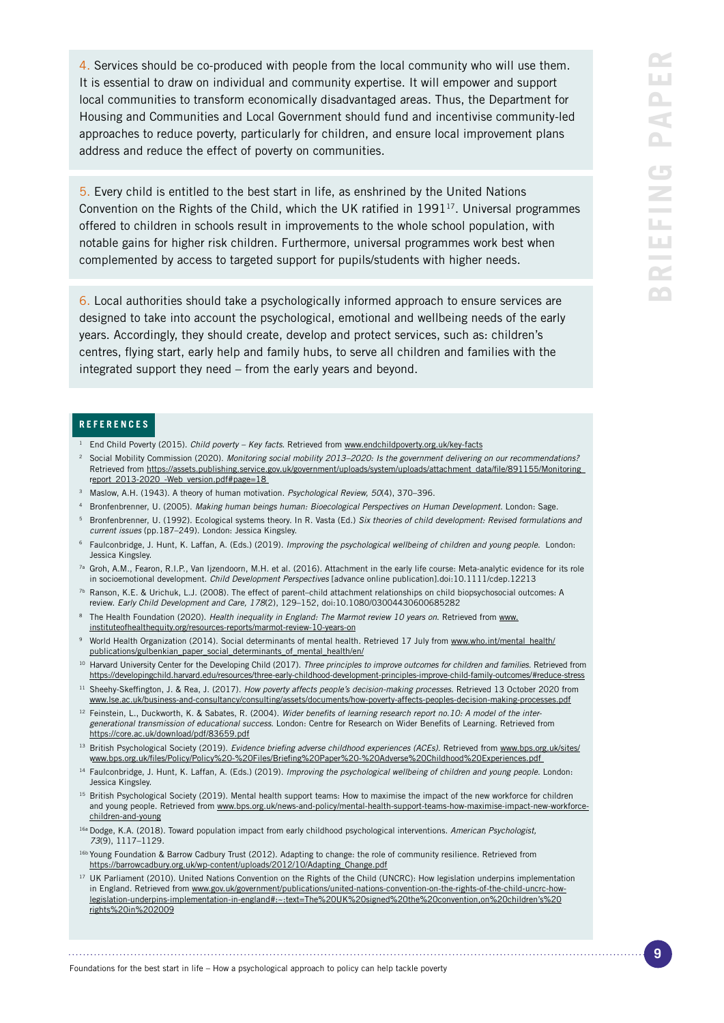4. Services should be co-produced with people from the local community who will use them. It is essential to draw on individual and community expertise. It will empower and support local communities to transform economically disadvantaged areas. Thus, the Department for Housing and Communities and Local Government should fund and incentivise community-led approaches to reduce poverty, particularly for children, and ensure local improvement plans address and reduce the effect of poverty on communities.

5. Every child is entitled to the best start in life, as enshrined by the United Nations Convention on the Rights of the Child, which the UK ratified in 199117. Universal programmes offered to children in schools result in improvements to the whole school population, with notable gains for higher risk children. Furthermore, universal programmes work best when complemented by access to targeted support for pupils/students with higher needs.

6. Local authorities should take a psychologically informed approach to ensure services are designed to take into account the psychological, emotional and wellbeing needs of the early years. Accordingly, they should create, develop and protect services, such as: children's centres, flying start, early help and family hubs, to serve all children and families with the integrated support they need – from the early years and beyond.

### **REFERENCES**

- <sup>1</sup> End Child Poverty (2015). *Child poverty Key facts*. Retrieved from [www.endchildpoverty.org.uk/key-facts](http://www.endchildpoverty.org.uk/key-facts)
- <sup>2</sup> Social Mobility Commission (2020). *Monitoring social mobility 2013–2020: Is the government delivering on our recommendations?* Retrieved from [https://assets.publishing.service.gov.uk/government/uploads/system/uploads/attachment\\_data/file/891155/Monitoring\\_](https://assets.publishing.service.gov.uk/government/uploads/system/uploads/attachment_data/file/891155/Monitoring_report_2013-2020_-Web_version.pdf#page=18) [report\\_2013-2020\\_-Web\\_version.pdf#page=18](https://assets.publishing.service.gov.uk/government/uploads/system/uploads/attachment_data/file/891155/Monitoring_report_2013-2020_-Web_version.pdf#page=18)\_
- <sup>3</sup> Maslow, A.H. (1943). A theory of human motivation. *Psychological Review, 50*(4), 370–396.
- <sup>4</sup> Bronfenbrenner, U. (2005). *Making human beings human: Bioecological Perspectives on Human Development*. London: Sage.
- <sup>5</sup> Bronfenbrenner, U. (1992). Ecological systems theory. In R. Vasta (Ed.) *Six theories of child development: Revised formulations and current issues* (pp.187–249). London: Jessica Kingsley.
- <sup>6</sup> Faulconbridge, J. Hunt, K. Laffan, A. (Eds.) (2019). *Improving the psychological wellbeing of children and young people*. London: Jessica Kingsley.
- 7a Groh, A.M., Fearon, R.I.P., Van Ijzendoorn, M.H. et al. (2016). Attachment in the early life course: Meta-analytic evidence for its role in socioemotional development. *Child Development Perspectives* [advance online publication].doi:10.1111/cdep.12213
- 7b Ranson, K.E. & Urichuk, L.J. (2008). The effect of parent–child attachment relationships on child biopsychosocial outcomes: A review. *Early Child Development and Care, 178*(2), 129–152, doi:10.1080/03004430600685282
- <sup>8</sup> The Health Foundation (2020). *Health inequality in England: The Marmot review 10 years on*. Retrieved from [www.](http://www.instituteofhealthequity.org/resources-reports/marmot-review-10-years-on) [instituteofhealthequity.org/resources-reports/marmot-review-10-years-on](http://www.instituteofhealthequity.org/resources-reports/marmot-review-10-years-on)
- 9 World Health Organization (2014). Social determinants of mental health. Retrieved 17 July from [www.who.int/mental\\_health/](http://www.who.int/mental_health/publications/gulbenkian_paper_social_determinants_of_mental_health/en/) [publications/gulbenkian\\_paper\\_social\\_determinants\\_of\\_mental\\_health/en/](http://www.who.int/mental_health/publications/gulbenkian_paper_social_determinants_of_mental_health/en/)
- <sup>10</sup> Harvard University Center for the Developing Child (2017). *Three principles to improve outcomes for children and families*. Retrieved from <https://developingchild.harvard.edu/resources/three-early-childhood-development-principles-improve-child-family-outcomes/#reduce-stress>
- <sup>11</sup> Sheehy-Skeffington, J. & Rea, J. (2017). *How poverty affects people's decision-making processes*. Retrieved 13 October 2020 from [www.lse.ac.uk/business-and-consultancy/consulting/assets/documents/how-poverty-affects-peoples-decision-making-processes.pdf](http://www.lse.ac.uk/business-and-consultancy/consulting/assets/documents/how-poverty-affects-peoples-decision-making-processes.pdf)
- <sup>12</sup> Feinstein, L., Duckworth, K. & Sabates, R. (2004). Wider benefits of learning research report no.10: A model of the inter*generational transmission of educational success*. London: Centre for Research on Wider Benefits of Learning. Retrieved from <https://core.ac.uk/download/pdf/83659.pdf>
- <sup>13</sup> British Psychological Society (2019). *Evidence briefing adverse childhood experiences (ACEs)*. Retrieved from [www.bps.org.uk/sites/](http://www.bps.org.uk/sites/www.bps.org.uk/files/Policy/Policy%20-%20Files/Briefing%20Paper%20-%20Adverse%20Childhood%20Experiences.pdf) [www.bps.org.uk/files/Policy/Policy%20-%20Files/Briefing%20Paper%20-%20Adverse%20Childhood%20Experiences.pdf](http://www.bps.org.uk/sites/www.bps.org.uk/files/Policy/Policy%20-%20Files/Briefing%20Paper%20-%20Adverse%20Childhood%20Experiences.pdf)
- <sup>14</sup> Faulconbridge, J. Hunt, K. Laffan, A. (Eds.) (2019). *Improving the psychological wellbeing of children and young people*. London: Jessica Kingsley.
- <sup>15</sup> British Psychological Society (2019). Mental health support teams: How to maximise the impact of the new workforce for children and young people. Retrieved from [www.bps.org.uk/news-and-policy/mental-health-support-teams-how-maximise-impact-new-workforce](http://www.bps.org.uk/news-and-policy/mental-health-support-teams-how-maximise-impact-new-workforce-children-and-young)[children-and-young](http://www.bps.org.uk/news-and-policy/mental-health-support-teams-how-maximise-impact-new-workforce-children-and-young)
- 16a Dodge, K.A. (2018). Toward population impact from early childhood psychological interventions. *American Psychologist, 73*(9), 1117–1129.
- 16b Young Foundation & Barrow Cadbury Trust (2012). Adapting to change: the role of community resilience. Retrieved from [https://barrowcadbury.org.uk/wp-content/uploads/2012/10/Adapting\\_Change.pdf](https://barrowcadbury.org.uk/wp-content/uploads/2012/10/Adapting_Change.pdf)
- <sup>17</sup> UK Parliament (2010). United Nations Convention on the Rights of the Child (UNCRC): How legislation underpins implementation in England. Retrieved from [www.gov.uk/government/publications/united-nations-convention-on-the-rights-of-the-child-uncrc-how](http://www.gov.uk/government/publications/united-nations-convention-on-the-rights-of-the-child-uncrc-how-legislation-underpins-implementation-in-england#:~:text=The%20UK%20signed%20the%20convention,on%20children’s%20rights%20in%202009)[legislation-underpins-implementation-in-england#:~:text=The%20UK%20signed%20the%20convention,on%20children's%20](http://www.gov.uk/government/publications/united-nations-convention-on-the-rights-of-the-child-uncrc-how-legislation-underpins-implementation-in-england#:~:text=The%20UK%20signed%20the%20convention,on%20children’s%20rights%20in%202009) [rights%20in%202009](http://www.gov.uk/government/publications/united-nations-convention-on-the-rights-of-the-child-uncrc-how-legislation-underpins-implementation-in-england#:~:text=The%20UK%20signed%20the%20convention,on%20children’s%20rights%20in%202009)